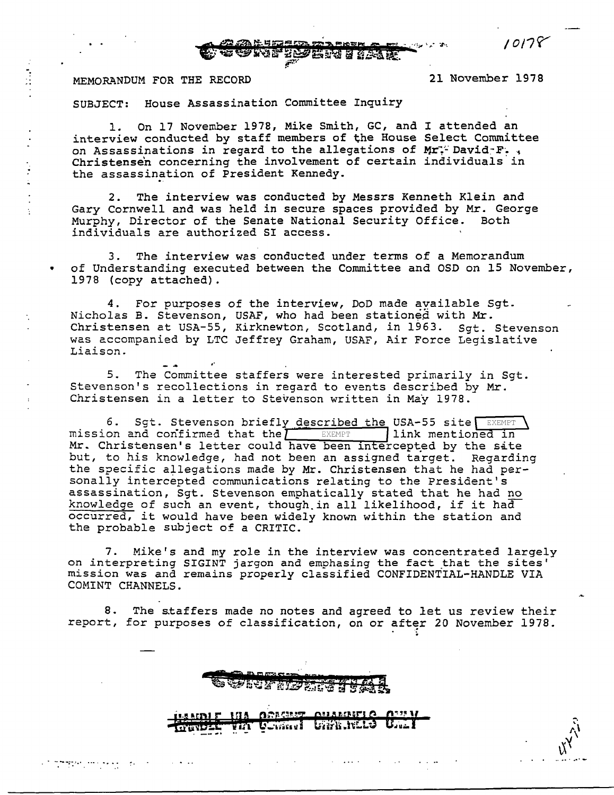2006 THE STATE

## MEMORANDUM FOR THE RECORD 21 November 1978

*1011(('* 

SUBJECT: House Assassination Committee Inquiry

..

. ... .... -;:.··· ....

1. On 17 November 1978, Mike Smith, GC, and I attended an interview conducted by staff members of the House Select Committee on Assassinations in regard to the allegations of  $Mr$ . David-F.. Christensen concerning the involvement of certain individuals in the assassination of President Kennedy.

2. The interview was conducted by Messrs Kenneth Klein and Gary Cornwell and was held in secure spaces provided by Mr. George Murphy, Director of the Senate National Security Office. Both individuals are authorized SI access.

3. The interview was conducted under terms of a Memorandum • of Understanding executed between the Committee and OSD on 15 November, 1978 (copy attached) .

4. For purposes of the interview, DoD made available Sgt. Nicholas B. Stevenson, USAF, who had been stationed with Mr. Christensen at USA-55, Kirknewton, Scotland, in 1963. Sqt. Stevenson was accompanied by LTC Jeffrey Graham, USAF, Air Force Legislative Liaison.

5. The Committee staffers were interested primarily in Sgt. Stevenson's recollections in regard to events described by Mr. Christensen in a letter to Stevenson written in May 1978.

Sgt. Stevenson briefly described the USA-55 site mission and confirmed that the  $\overline{I}$  EXEMPT finish mentioned in Mr. Christensen's letter could have been intercepted by the sate but, to his knowledge, had not been an assigned target. Regarding the specific allegations made by Mr. Christensen that he had personally intercepted communications relating to the President's assassination, Sgt. Stevenson emphatically stated that he had no knowledge of such an event, though in all likelihood, if it had occurred, it would have been widely known within the station and the probable subject of a CRITIC.

7. Mike's and my role in the interview was concentrated largely on interpreting SIGINT jargon and emphasing the fact that the sites' mission was and remains properly classified CONFIDENTIAL-HANDLE VIA COMINT CHANNELS.

8. The staffers made no notes and agreed to let us review their report, for purposes of classification, on or after 20 November 1978.

VIA COMMUT UNIANCES

**MIA ORACEST** 

**OUARDIEL O** 

**U.LI**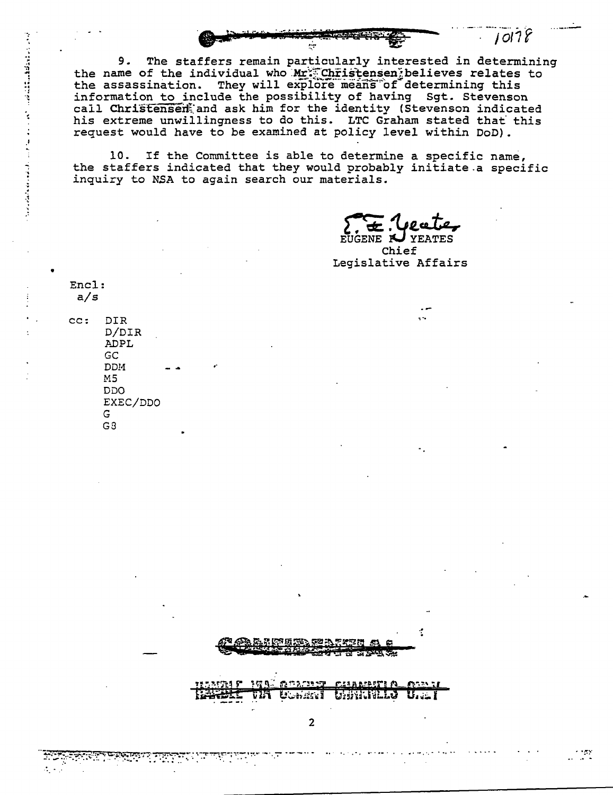

The staffers remain particularly interested in determining 9. the name of the individual who Mr. Christensen believes relates to<br>the assassination. They will explore means of determining this information to include the possibility of having Sgt. Stevenson call Christensen and ask him for the identity (Stevenson indicated his extreme unwillingness to do this. LTC Graham stated that this request would have to be examined at policy level within DoD).

If the Committee is able to determine a specific name, 10. the staffers indicated that they would probably initiate a specific inquiry to NSA to again search our materials.

ga ta a gasa saw

Uumiisi

 $\overline{2}$ 

ሮሪ፣ አይነዓርም፣ የአ Unitialis

 $10178$ 

EUGENE K **YEATES** Chief Legislative Affairs

Encl:  $a/s$ 

アイディスクロールの中では、このことになっています。 アイ・コース しゅうしょう こうしょう こうこう

 $cc:$ **DIR** D/DIR **ADPL** GC **DDM**  $M<sub>5</sub>$ סכם EXEC/DDO G.  $G3$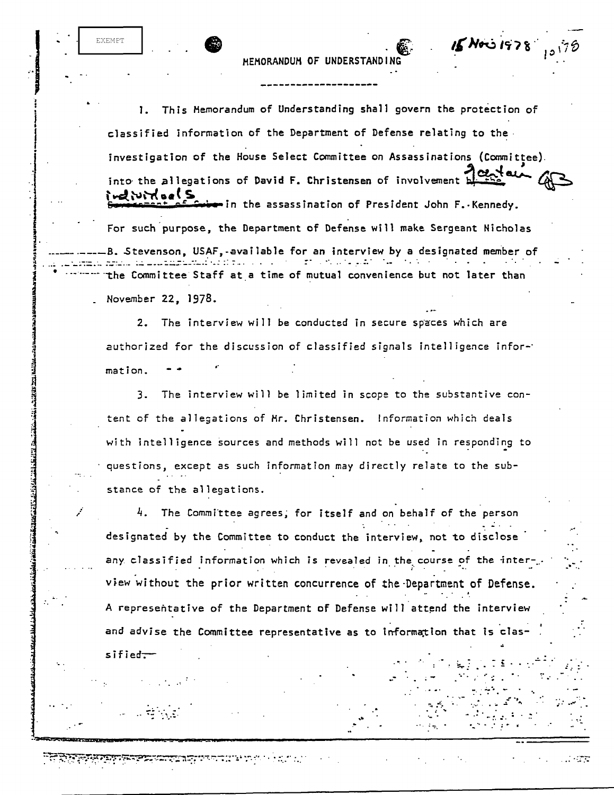MEMORANDUM OF UNDERSTAND

 $15N$ 00 1978

a a shekara

**EXEMPT** 

 $s$ ified $-$ 

**AND AND AND ACTIVE AND ACTIVE AND ACTIVITY OF ACTIVITY AND ACTIVITY OF ACTIVITY AND ACTIVITY OF ACTIVITY AND A** 

This Memorandum of Understanding shall govern the protection of 1. classified information of the Department of Defense relating to the  $\cdot$ investigation of the House Select Committee on Assassinations (Committee). into the allegations of David F. Christensen of involvement eliuito el S  $\bullet$  in the assassination of President John F. Kennedy. For such purpose, the Department of Defense will make Sergeant Nicholas B. Stevenson, USAF, available for an interview by a designated member of the Committee Staff at a time of mutual convenience but not later than November 22, 1978.

2. The interview will be conducted in secure spaces which are authorized for the discussion of classified signals intelligence information.

3. The interview will be limited in scope to the substantive content of the allegations of Mr. Christensen. Information which deals with intelligence sources and methods will not be used in responding to questions, except as such information may directly relate to the substance of the allegations.

 $4.$  The Committee agrees, for itself and on behalf of the person designated by the Committee to conduct the interview, not to disclose any classified information which is revealed in the course of the interview without the prior written concurrence of the Department of Defense. A representative of the Department of Defense will attend the interview and advise the Committee representative as to information that is clas-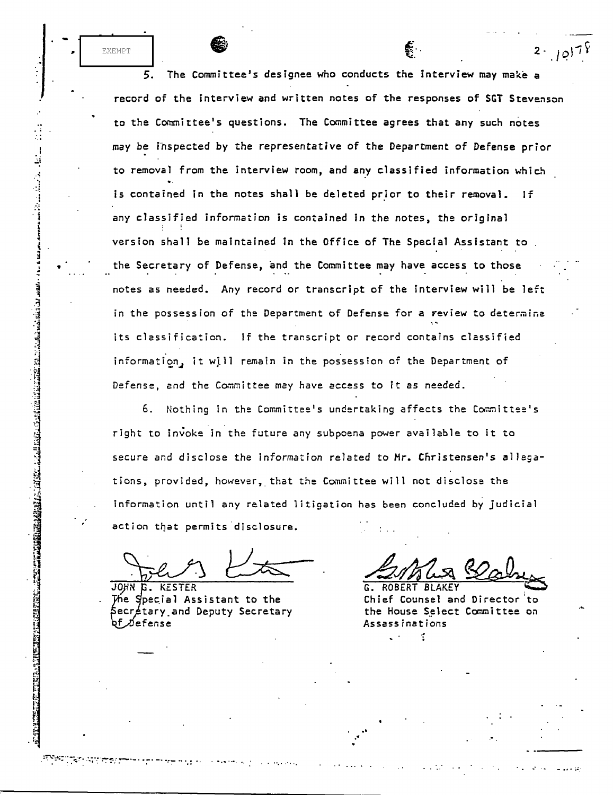The Committee's designee who conducts the interview may make a 5. record of the interview and written notes of the responses of SGT Stevenson to the Committee's questions. The Committee agrees that any such notes may be inspected by the representative of the Department of Defense prior to removal from the interview room, and any classified information which is contained in the notes shall be deleted prior to their removal. If any classified information is contained in the notes, the original version shall be maintained in the Office of The Special Assistant to the Secretary of Defense, and the Committee may have access to those notes as needed. Any record or transcript of the interview will be left in the possession of the Department of Defense for a review to determine its classification. If the transcript or record contains classified information, it will remain in the possession of the Department of Defense, and the Committee may have access to it as needed.

6. Nothing in the Committee's undertaking affects the Committee's right to invoke in the future any subpoena power available to it to secure and disclose the information related to Mr. Christensen's allegations, provided, however, that the Committee will not disclose the information until any related litigation has been concluded by judicial action that permits disclosure.

JOHN G. KESTER The Special Assistant to the Secretary and Deputy Secretary bf Øefense

EXEMPT

**CONSTRUCTION CONTROLS IN THE STATE OF STATES OF A STATE OF STATES OF A STATES OF A STATES OF A STATES OF A ST** 

**RIAKEY** 

2.  $10^{17}$ 

Chief Counsel and Director to the House Select Committee on **Assassinations**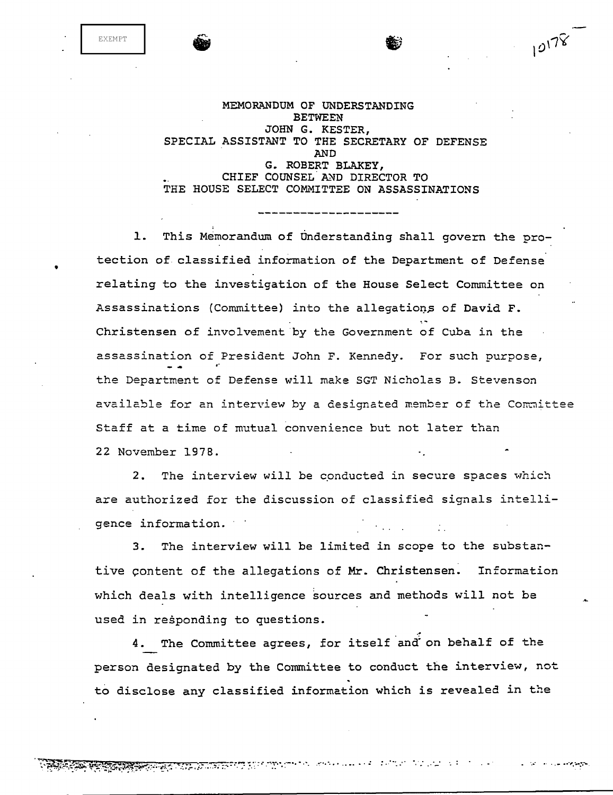EXEMPT

•

MEMORANDUM OF UNDERSTANDING BETWEEN JOHN G. KESTER, SPECIAL ASSISTANT TO THE SECRETARY OF DEFENSE AND G. ROBERT BLAKEY, CHIEF COUNSEL AND DIRECTOR TO THE HOUSE SELECT COMMITTEE ON ASSASSINATIONS

10178

1. This Memorandum of Understanding shall govern the protection of classified information of the Department of Defense relating to the investigation of the House Select Committee on Assassinations (Committee) into the allegations of David F. Christensen of involvement by the Government of Cuba in the assassination of President John F. Kennedy. For such purpose, the Department of Defense will make SGT Nicholas B. Stevenson available for an interview by a designated member of the Committee Staff at a time of mutual convenience but not later than 22 November 1978.

2. The interview will be conducted in secure spaces which are authorized for the discussion of classified signals intelligence information.

3. The interview will be limited in scope to the substantive content of the allegations of Mr. Christensen. Information which deals with intelligence sources and methods will not be used in responding to questions.

4. The Committee agrees, for itself and on behalf of the person designated by the Committee to conduct the interview, not<br>to disclose any classified information which is revealed in the

... '• ~. . . . . . . .. ... : *..* ··· *..* ·· ... . ... -*... , ..... :.··.*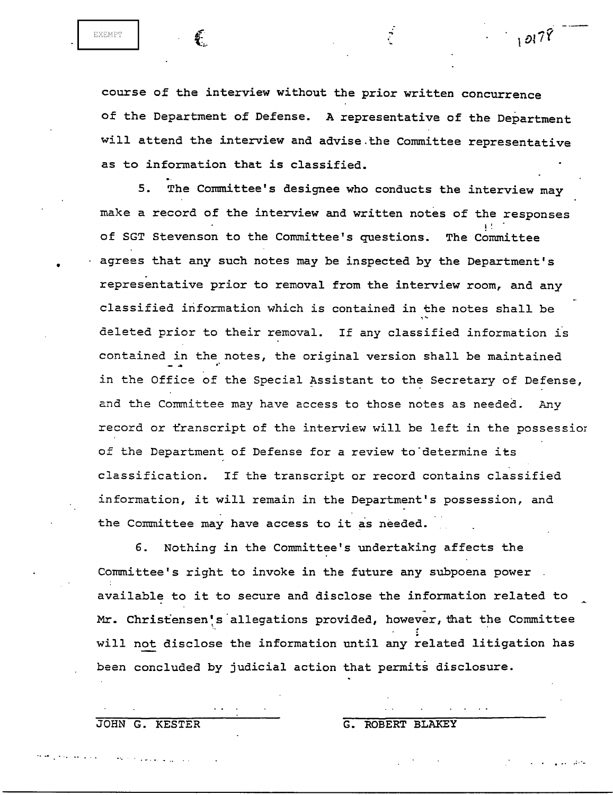$\sqrt{27}$ 

•

course of the interview without the prior written concurrence of the Department of Defense. A representative of the Department will attend the interview and advise.the Committee representative as to information that is classified.

5. The Committee's designee who conducts the interview may make a record of the interview and written notes of the responses of SGT Stevenson to the Committee's questions. The Committee agrees that any such notes may be inspected by the Department's . representative prior to removal from the interview room, and any classified information which is contained in the notes shall be deleted prior to their removal. If any classified information is contained in the notes, the original version shall be maintained in the Office of the Special Assistant to the Secretary of Defense, 2nd the Committee may have access to those notes as needed. Any record or transcript of the interview will be left in the possessior of the Department of Defense for a review to determine its classification. If the transcript or record contains classified information, it will remain in the Department's possession, and the Committee may have access to it as needed.

6. Nothing in the Committee's undertaking affects the Committee's right to invoke in the future any subpoena power available to it to secure and disclose the information related to Mr. Christensen's allegations provided, however, that the Committee will not disclose the information until any related litigation has been concluded by judicial action that permits disclosure.

JOHN G. KESTER G. ROBERT BLAKEY

...... •· .... . ........ ...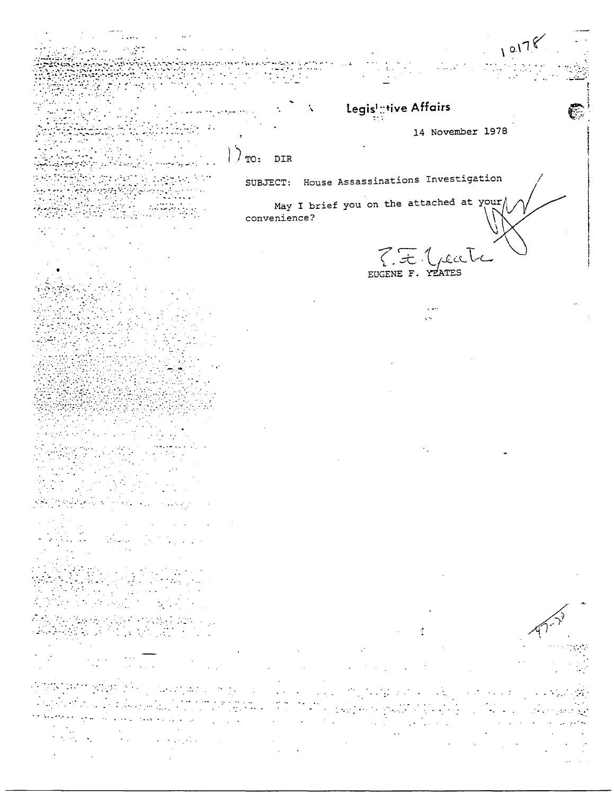$10178$ Legislative Affairs Ń, 14 November 1978  $\sum_{\text{TO: } DIR}$  $\mathbb{R}^2$ SUBJECT: House Assassinations Investigation May I brief you on the attached at your convenience? Tit Gecte الموالية  $\sim 10^6$  $\mathcal{L}$  $\sim$  $\mathcal{L}^{\mathcal{L}}$ 

 $\sim$  $\mathcal{L}^{\text{max}}$